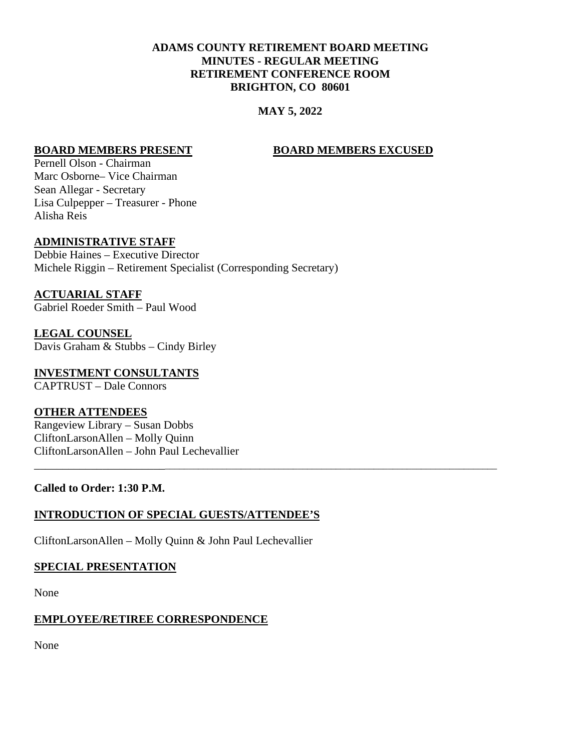# **ADAMS COUNTY RETIREMENT BOARD MEETING MINUTES - REGULAR MEETING RETIREMENT CONFERENCE ROOM BRIGHTON, CO 80601**

# **MAY 5, 2022**

\_\_\_\_\_\_\_\_\_\_\_\_\_\_\_\_\_\_\_\_\_\_\_\_\_\_\_\_\_\_\_\_\_\_\_\_\_\_\_\_\_\_\_\_\_\_\_\_\_\_\_\_\_\_\_\_\_\_\_\_\_\_\_\_\_\_\_\_\_\_\_\_\_\_\_\_\_\_\_\_\_\_\_\_\_\_\_\_\_\_\_\_\_

#### **BOARD MEMBERS PRESENT BOARD MEMBERS EXCUSED**

Pernell Olson - Chairman Marc Osborne– Vice Chairman Sean Allegar - Secretary Lisa Culpepper – Treasurer - Phone Alisha Reis

#### **ADMINISTRATIVE STAFF**

Debbie Haines – Executive Director Michele Riggin – Retirement Specialist (Corresponding Secretary)

**ACTUARIAL STAFF** Gabriel Roeder Smith – Paul Wood

**LEGAL COUNSEL** Davis Graham & Stubbs – Cindy Birley

**INVESTMENT CONSULTANTS** CAPTRUST – Dale Connors

#### **OTHER ATTENDEES**

Rangeview Library – Susan Dobbs CliftonLarsonAllen – Molly Quinn CliftonLarsonAllen – John Paul Lechevallier

#### **Called to Order: 1:30 P.M.**

#### **INTRODUCTION OF SPECIAL GUESTS/ATTENDEE'S**

CliftonLarsonAllen – Molly Quinn & John Paul Lechevallier

#### **SPECIAL PRESENTATION**

None

#### **EMPLOYEE/RETIREE CORRESPONDENCE**

None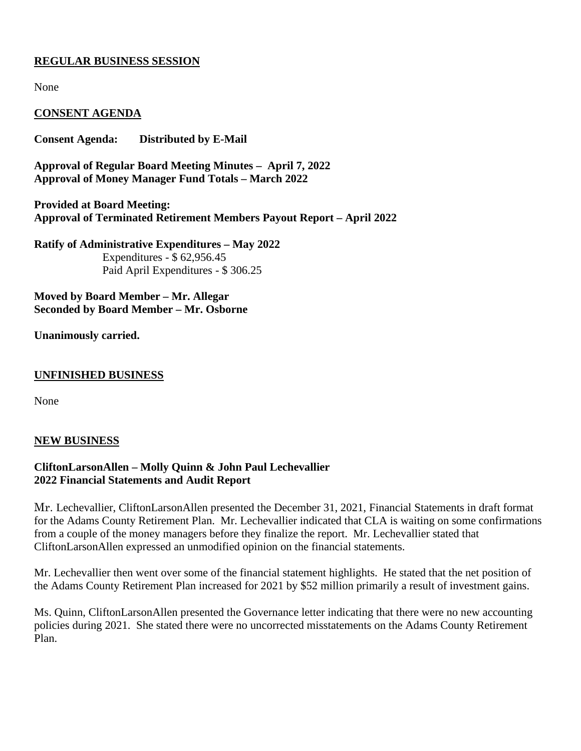## **REGULAR BUSINESS SESSION**

None

## **CONSENT AGENDA**

**Consent Agenda: Distributed by E-Mail**

**Approval of Regular Board Meeting Minutes – April 7, 2022 Approval of Money Manager Fund Totals – March 2022**

**Provided at Board Meeting: Approval of Terminated Retirement Members Payout Report – April 2022**

**Ratify of Administrative Expenditures – May 2022** Expenditures - \$ 62,956.45 Paid April Expenditures - \$ 306.25

**Moved by Board Member – Mr. Allegar Seconded by Board Member – Mr. Osborne**

**Unanimously carried.**

#### **UNFINISHED BUSINESS**

None

#### **NEW BUSINESS**

## **CliftonLarsonAllen – Molly Quinn & John Paul Lechevallier 2022 Financial Statements and Audit Report**

Mr. Lechevallier, CliftonLarsonAllen presented the December 31, 2021, Financial Statements in draft format for the Adams County Retirement Plan. Mr. Lechevallier indicated that CLA is waiting on some confirmations from a couple of the money managers before they finalize the report. Mr. Lechevallier stated that CliftonLarsonAllen expressed an unmodified opinion on the financial statements.

Mr. Lechevallier then went over some of the financial statement highlights. He stated that the net position of the Adams County Retirement Plan increased for 2021 by \$52 million primarily a result of investment gains.

Ms. Quinn, CliftonLarsonAllen presented the Governance letter indicating that there were no new accounting policies during 2021. She stated there were no uncorrected misstatements on the Adams County Retirement Plan.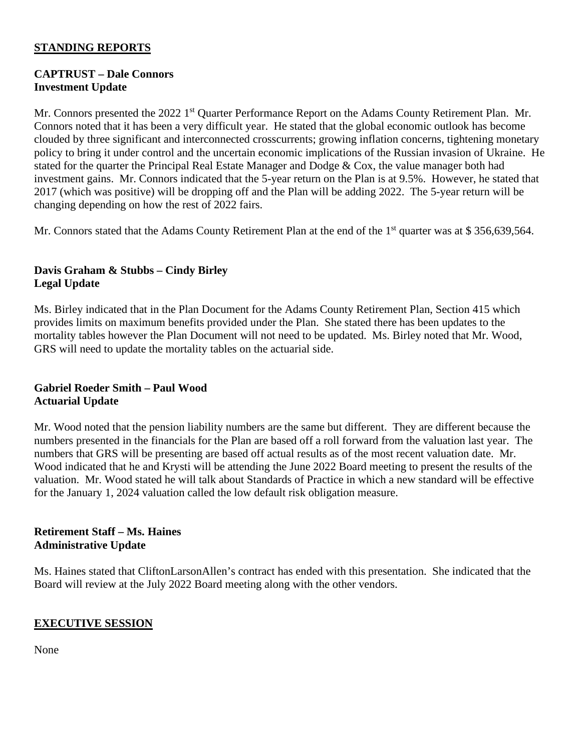# **STANDING REPORTS**

# **CAPTRUST – Dale Connors Investment Update**

Mr. Connors presented the 2022 1<sup>st</sup> Quarter Performance Report on the Adams County Retirement Plan. Mr. Connors noted that it has been a very difficult year. He stated that the global economic outlook has become clouded by three significant and interconnected crosscurrents; growing inflation concerns, tightening monetary policy to bring it under control and the uncertain economic implications of the Russian invasion of Ukraine. He stated for the quarter the Principal Real Estate Manager and Dodge & Cox, the value manager both had investment gains. Mr. Connors indicated that the 5-year return on the Plan is at 9.5%. However, he stated that 2017 (which was positive) will be dropping off and the Plan will be adding 2022. The 5-year return will be changing depending on how the rest of 2022 fairs.

Mr. Connors stated that the Adams County Retirement Plan at the end of the 1<sup>st</sup> quarter was at \$ 356,639,564.

# **Davis Graham & Stubbs – Cindy Birley Legal Update**

Ms. Birley indicated that in the Plan Document for the Adams County Retirement Plan, Section 415 which provides limits on maximum benefits provided under the Plan. She stated there has been updates to the mortality tables however the Plan Document will not need to be updated. Ms. Birley noted that Mr. Wood, GRS will need to update the mortality tables on the actuarial side.

## **Gabriel Roeder Smith – Paul Wood Actuarial Update**

Mr. Wood noted that the pension liability numbers are the same but different. They are different because the numbers presented in the financials for the Plan are based off a roll forward from the valuation last year. The numbers that GRS will be presenting are based off actual results as of the most recent valuation date. Mr. Wood indicated that he and Krysti will be attending the June 2022 Board meeting to present the results of the valuation. Mr. Wood stated he will talk about Standards of Practice in which a new standard will be effective for the January 1, 2024 valuation called the low default risk obligation measure.

## **Retirement Staff – Ms. Haines Administrative Update**

Ms. Haines stated that CliftonLarsonAllen's contract has ended with this presentation. She indicated that the Board will review at the July 2022 Board meeting along with the other vendors.

# **EXECUTIVE SESSION**

None